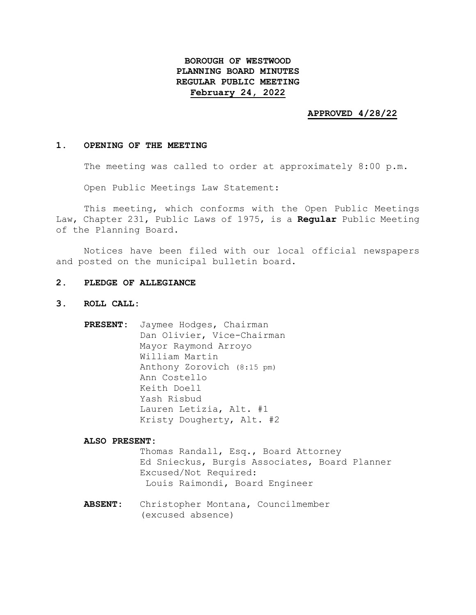# **BOROUGH OF WESTWOOD PLANNING BOARD MINUTES REGULAR PUBLIC MEETING February 24, 2022**

#### **APPROVED 4/28/22**

#### **1. OPENING OF THE MEETING**

The meeting was called to order at approximately 8:00 p.m.

Open Public Meetings Law Statement:

This meeting, which conforms with the Open Public Meetings Law, Chapter 231, Public Laws of 1975, is a **Regular** Public Meeting of the Planning Board.

Notices have been filed with our local official newspapers and posted on the municipal bulletin board.

## **2. PLEDGE OF ALLEGIANCE**

- **3. ROLL CALL:**
	- **PRESENT:** Jaymee Hodges, Chairman Dan Olivier, Vice-Chairman Mayor Raymond Arroyo William Martin Anthony Zorovich (8:15 pm) Ann Costello Keith Doell Yash Risbud Lauren Letizia, Alt. #1 Kristy Dougherty, Alt. #2

**ALSO PRESENT:**

Thomas Randall, Esq., Board Attorney Ed Snieckus, Burgis Associates, Board Planner Excused/Not Required: Louis Raimondi, Board Engineer

**ABSENT:** Christopher Montana, Councilmember (excused absence)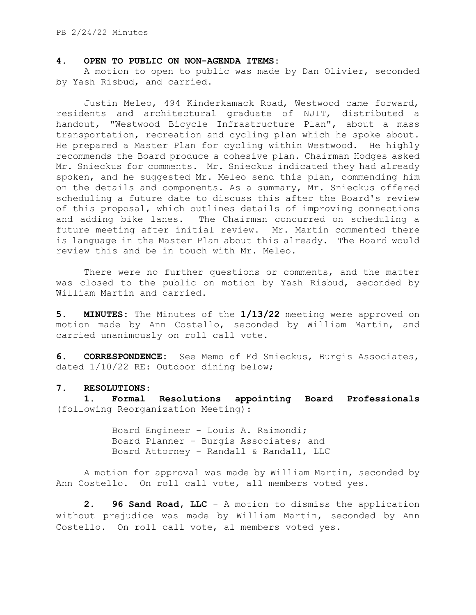## **4. OPEN TO PUBLIC ON NON-AGENDA ITEMS:**

A motion to open to public was made by Dan Olivier, seconded by Yash Risbud, and carried.

Justin Meleo, 494 Kinderkamack Road, Westwood came forward, residents and architectural graduate of NJIT, distributed a handout, "Westwood Bicycle Infrastructure Plan", about a mass transportation, recreation and cycling plan which he spoke about. He prepared a Master Plan for cycling within Westwood. He highly recommends the Board produce a cohesive plan. Chairman Hodges asked Mr. Snieckus for comments. Mr. Snieckus indicated they had already spoken, and he suggested Mr. Meleo send this plan, commending him on the details and components. As a summary, Mr. Snieckus offered scheduling a future date to discuss this after the Board's review of this proposal, which outlines details of improving connections and adding bike lanes. The Chairman concurred on scheduling a future meeting after initial review. Mr. Martin commented there is language in the Master Plan about this already. The Board would review this and be in touch with Mr. Meleo.

There were no further questions or comments, and the matter was closed to the public on motion by Yash Risbud, seconded by William Martin and carried.

**5. MINUTES:** The Minutes of the **1/13/22** meeting were approved on motion made by Ann Costello, seconded by William Martin, and carried unanimously on roll call vote.

**6. CORRESPONDENCE:** See Memo of Ed Snieckus, Burgis Associates, dated 1/10/22 RE: Outdoor dining below;

## **7. RESOLUTIONS:**

**1. Formal Resolutions appointing Board Professionals** (following Reorganization Meeting):

> Board Engineer - Louis A. Raimondi; Board Planner - Burgis Associates; and Board Attorney - Randall & Randall, LLC

A motion for approval was made by William Martin, seconded by Ann Costello. On roll call vote, all members voted yes.

**2. 96 Sand Road, LLC** - A motion to dismiss the application without prejudice was made by William Martin, seconded by Ann Costello. On roll call vote, al members voted yes.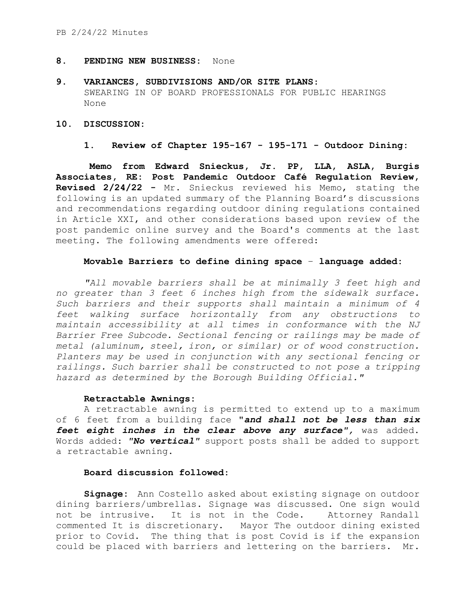# **8. PENDING NEW BUSINESS:** None

**9. VARIANCES, SUBDIVISIONS AND/OR SITE PLANS**: SWEARING IN OF BOARD PROFESSIONALS FOR PUBLIC HEARINGS None

## **10. DISCUSSION:**

# **1. Review of Chapter 195-167 - 195-171 - Outdoor Dining:**

**Memo from Edward Snieckus, Jr. PP, LLA, ASLA, Burgis Associates, RE: Post Pandemic Outdoor Café Regulation Review, Revised 2/24/22 -** Mr. Snieckus reviewed his Memo, stating the following is an updated summary of the Planning Board's discussions and recommendations regarding outdoor dining regulations contained in Article XXI, and other considerations based upon review of the post pandemic online survey and the Board's comments at the last meeting. The following amendments were offered:

# **Movable Barriers to define dining space** – **language added:**

*"All movable barriers shall be at minimally 3 feet high and no greater than 3 feet 6 inches high from the sidewalk surface. Such barriers and their supports shall maintain a minimum of 4 feet walking surface horizontally from any obstructions to maintain accessibility at all times in conformance with the NJ Barrier Free Subcode. Sectional fencing or railings may be made of metal (aluminum, steel, iron, or similar) or of wood construction. Planters may be used in conjunction with any sectional fencing or railings. Such barrier shall be constructed to not pose a tripping hazard as determined by the Borough Building Official."*

## **Retractable Awnings:**

A retractable awning is permitted to extend up to a maximum of 6 feet from a building face **"***and shall not be less than six feet eight inches in the clear above any surface",* was added. Words added: *"No vertical"* support posts shall be added to support a retractable awning.

# **Board discussion followed**:

**Signage:** Ann Costello asked about existing signage on outdoor dining barriers/umbrellas. Signage was discussed. One sign would not be intrusive. It is not in the Code. Attorney Randall commented It is discretionary. Mayor The outdoor dining existed prior to Covid. The thing that is post Covid is if the expansion could be placed with barriers and lettering on the barriers. Mr.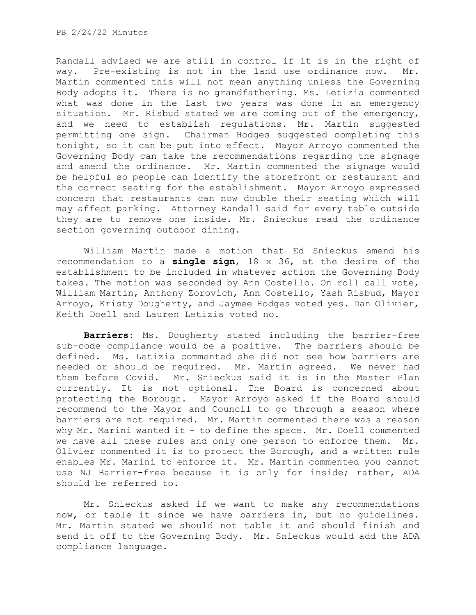Randall advised we are still in control if it is in the right of way. Pre-existing is not in the land use ordinance now. Mr. Martin commented this will not mean anything unless the Governing Body adopts it. There is no grandfathering. Ms. Letizia commented what was done in the last two years was done in an emergency situation. Mr. Risbud stated we are coming out of the emergency, and we need to establish regulations. Mr. Martin suggested permitting one sign. Chairman Hodges suggested completing this tonight, so it can be put into effect. Mayor Arroyo commented the Governing Body can take the recommendations regarding the signage and amend the ordinance. Mr. Martin commented the signage would be helpful so people can identify the storefront or restaurant and the correct seating for the establishment. Mayor Arroyo expressed concern that restaurants can now double their seating which will may affect parking. Attorney Randall said for every table outside they are to remove one inside. Mr. Snieckus read the ordinance section governing outdoor dining.

William Martin made a motion that Ed Snieckus amend his recommendation to a **single sign**, 18 x 36, at the desire of the establishment to be included in whatever action the Governing Body takes. The motion was seconded by Ann Costello. On roll call vote, William Martin, Anthony Zorovich, Ann Costello, Yash Risbud, Mayor Arroyo, Kristy Dougherty, and Jaymee Hodges voted yes. Dan Olivier, Keith Doell and Lauren Letizia voted no.

**Barriers:** Ms. Dougherty stated including the barrier-free sub-code compliance would be a positive. The barriers should be defined. Ms. Letizia commented she did not see how barriers are needed or should be required. Mr. Martin agreed. We never had them before Covid. Mr. Snieckus said it is in the Master Plan currently. It is not optional. The Board is concerned about protecting the Borough. Mayor Arroyo asked if the Board should recommend to the Mayor and Council to go through a season where barriers are not required. Mr. Martin commented there was a reason why Mr. Marini wanted it - to define the space. Mr. Doell commented we have all these rules and only one person to enforce them. Mr. Olivier commented it is to protect the Borough, and a written rule enables Mr. Marini to enforce it. Mr. Martin commented you cannot use NJ Barrier-free because it is only for inside; rather, ADA should be referred to.

Mr. Snieckus asked if we want to make any recommendations now, or table it since we have barriers in, but no guidelines. Mr. Martin stated we should not table it and should finish and send it off to the Governing Body. Mr. Snieckus would add the ADA compliance language.